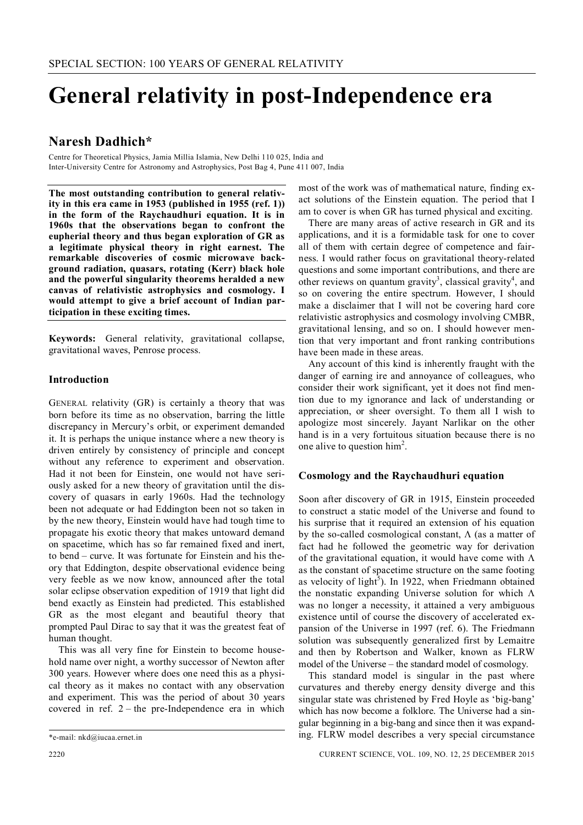# **General relativity in post-Independence era**

## **Naresh Dadhich\***

Centre for Theoretical Physics, Jamia Millia Islamia, New Delhi 110 025, India and Inter-University Centre for Astronomy and Astrophysics, Post Bag 4, Pune 411 007, India

**The most outstanding contribution to general relativity in this era came in 1953 (published in 1955 (ref. 1)) in the form of the Raychaudhuri equation. It is in 1960s that the observations began to confront the eupherial theory and thus began exploration of GR as a legitimate physical theory in right earnest. The remarkable discoveries of cosmic microwave background radiation, quasars, rotating (Kerr) black hole and the powerful singularity theorems heralded a new canvas of relativistic astrophysics and cosmology. I would attempt to give a brief account of Indian participation in these exciting times.**

**Keywords:** General relativity, gravitational collapse, gravitational waves, Penrose process.

## **Introduction**

GENERAL relativity (GR) is certainly a theory that was born before its time as no observation, barring the little discrepancy in Mercury's orbit, or experiment demanded it. It is perhaps the unique instance where a new theory is driven entirely by consistency of principle and concept without any reference to experiment and observation. Had it not been for Einstein, one would not have seriously asked for a new theory of gravitation until the discovery of quasars in early 1960s. Had the technology been not adequate or had Eddington been not so taken in by the new theory, Einstein would have had tough time to propagate his exotic theory that makes untoward demand on spacetime, which has so far remained fixed and inert, to bend – curve. It was fortunate for Einstein and his theory that Eddington, despite observational evidence being very feeble as we now know, announced after the total solar eclipse observation expedition of 1919 that light did bend exactly as Einstein had predicted. This established GR as the most elegant and beautiful theory that prompted Paul Dirac to say that it was the greatest feat of human thought.

This was all very fine for Einstein to become household name over night, a worthy successor of Newton after 300 years. However where does one need this as a physical theory as it makes no contact with any observation and experiment. This was the period of about 30 years covered in ref. 2 – the pre-Independence era in which

most of the work was of mathematical nature, finding exact solutions of the Einstein equation. The period that I am to cover is when GR has turned physical and exciting.

There are many areas of active research in GR and its applications, and it is a formidable task for one to cover all of them with certain degree of competence and fairness. I would rather focus on gravitational theory-related questions and some important contributions, and there are other reviews on quantum gravity<sup>3</sup>, classical gravity<sup>4</sup>, and so on covering the entire spectrum. However, I should make a disclaimer that I will not be covering hard core relativistic astrophysics and cosmology involving CMBR, gravitational lensing, and so on. I should however mention that very important and front ranking contributions have been made in these areas.

Any account of this kind is inherently fraught with the danger of earning ire and annoyance of colleagues, who consider their work significant, yet it does not find mention due to my ignorance and lack of understanding or appreciation, or sheer oversight. To them all I wish to apologize most sincerely. Jayant Narlikar on the other hand is in a very fortuitous situation because there is no one alive to question  $\text{him}^2$ .

## **Cosmology and the Raychaudhuri equation**

Soon after discovery of GR in 1915, Einstein proceeded to construct a static model of the Universe and found to his surprise that it required an extension of his equation by the so-called cosmological constant,  $\Lambda$  (as a matter of fact had he followed the geometric way for derivation of the gravitational equation, it would have come with  $\Lambda$ as the constant of spacetime structure on the same footing as velocity of light<sup>5</sup>). In 1922, when Friedmann obtained the nonstatic expanding Universe solution for which  $\Lambda$ was no longer a necessity, it attained a very ambiguous existence until of course the discovery of accelerated expansion of the Universe in 1997 (ref. 6). The Friedmann solution was subsequently generalized first by Lemaitre and then by Robertson and Walker, known as FLRW model of the Universe – the standard model of cosmology.

This standard model is singular in the past where curvatures and thereby energy density diverge and this singular state was christened by Fred Hoyle as 'big-bang' which has now become a folklore. The Universe had a singular beginning in a big-bang and since then it was expanding. FLRW model describes a very special circumstance

<sup>\*</sup>e-mail: nkd@iucaa.ernet.in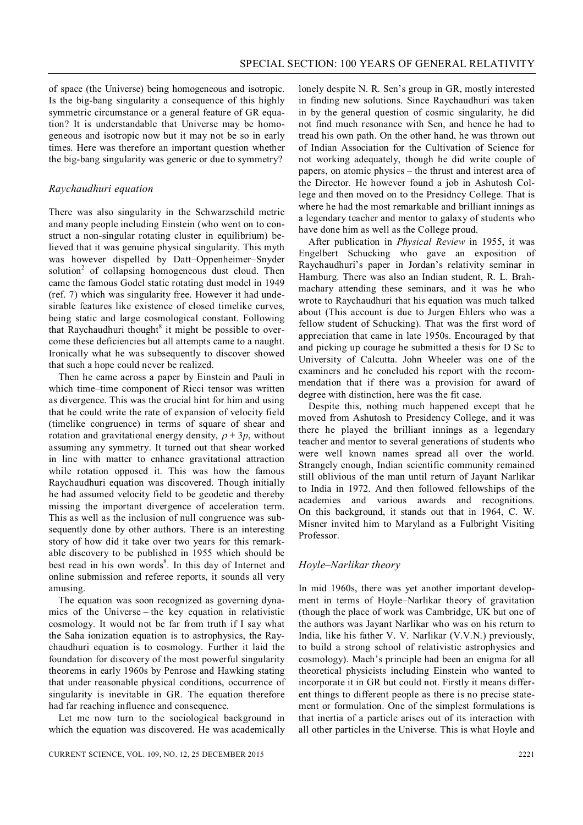of space (the Universe) being homogeneous and isotropic. Is the big-bang singularity a consequence of this highly symmetric circumstance or a general feature of GR equation? It is understandable that Universe may be homogeneous and isotropic now but it may not be so in early times. Here was therefore an important question whether the big-bang singularity was generic or due to symmetry?

#### *Raychaudhuri equation*

There was also singularity in the Schwarzschild metric and many people including Einstein (who went on to construct a non-singular rotating cluster in equilibrium) believed that it was genuine physical singularity. This myth was however dispelled by Datt–Oppenheimer–Snyder solution<sup>2</sup> of collapsing homogeneous dust cloud. Then came the famous Godel static rotating dust model in 1949 (ref. 7) which was singularity free. However it had undesirable features like existence of closed timelike curves, being static and large cosmological constant. Following that Raychaudhuri thought<sup>8</sup> it might be possible to overcome these deficiencies but all attempts came to a naught. Ironically what he was subsequently to discover showed that such a hope could never be realized.

Then he came across a paper by Einstein and Pauli in which time–time component of Ricci tensor was written as divergence. This was the crucial hint for him and using that he could write the rate of expansion of velocity field (timelike congruence) in terms of square of shear and rotation and gravitational energy density,  $\rho + 3p$ , without assuming any symmetry. It turned out that shear worked in line with matter to enhance gravitational attraction while rotation opposed it. This was how the famous Raychaudhuri equation was discovered. Though initially he had assumed velocity field to be geodetic and thereby missing the important divergence of acceleration term. This as well as the inclusion of null congruence was subsequently done by other authors. There is an interesting story of how did it take over two years for this remarkable discovery to be published in 1955 which should be best read in his own words<sup>8</sup>. In this day of Internet and online submission and referee reports, it sounds all very amusing.

The equation was soon recognized as governing dynamics of the Universe – the key equation in relativistic cosmology. It would not be far from truth if I say what the Saha ionization equation is to astrophysics, the Raychaudhuri equation is to cosmology. Further it laid the foundation for discovery of the most powerful singularity theorems in early 1960s by Penrose and Hawking stating that under reasonable physical conditions, occurrence of singularity is inevitable in GR. The equation therefore had far reaching influence and consequence.

Let me now turn to the sociological background in which the equation was discovered. He was academically

lonely despite N. R. Sen's group in GR, mostly interested in finding new solutions. Since Raychaudhuri was taken in by the general question of cosmic singularity, he did not find much resonance with Sen, and hence he had to tread his own path. On the other hand, he was thrown out of Indian Association for the Cultivation of Science for not working adequately, though he did write couple of papers, on atomic physics – the thrust and interest area of the Director. He however found a job in Ashutosh College and then moved on to the Presidncy College. That is where he had the most remarkable and brilliant innings as a legendary teacher and mentor to galaxy of students who have done him as well as the College proud.

After publication in *Physical Review* in 1955, it was Engelbert Schucking who gave an exposition of Raychaudhuri's paper in Jordan's relativity seminar in Hamburg. There was also an Indian student, R. L. Brahmachary attending these seminars, and it was he who wrote to Raychaudhuri that his equation was much talked about (This account is due to Jurgen Ehlers who was a fellow student of Schucking). That was the first word of appreciation that came in late 1950s. Encouraged by that and picking up courage he submitted a thesis for D Sc to University of Calcutta. John Wheeler was one of the examiners and he concluded his report with the recommendation that if there was a provision for award of degree with distinction, here was the fit case.

Despite this, nothing much happened except that he moved from Ashutosh to Presidency College, and it was there he played the brilliant innings as a legendary teacher and mentor to several generations of students who were well known names spread all over the world. Strangely enough, Indian scientific community remained still oblivious of the man until return of Jayant Narlikar to India in 1972. And then followed fellowships of the academies and various awards and recognitions. On this background, it stands out that in 1964, C. W. Misner invited him to Maryland as a Fulbright Visiting Professor.

## *Hoyle–Narlikar theory*

In mid 1960s, there was yet another important development in terms of Hoyle–Narlikar theory of gravitation (though the place of work was Cambridge, UK but one of the authors was Jayant Narlikar who was on his return to India, like his father V. V. Narlikar (V.V.N.) previously, to build a strong school of relativistic astrophysics and cosmology). Mach's principle had been an enigma for all theoretical physicists including Einstein who wanted to incorporate it in GR but could not. Firstly it means different things to different people as there is no precise statement or formulation. One of the simplest formulations is that inertia of a particle arises out of its interaction with all other particles in the Universe. This is what Hoyle and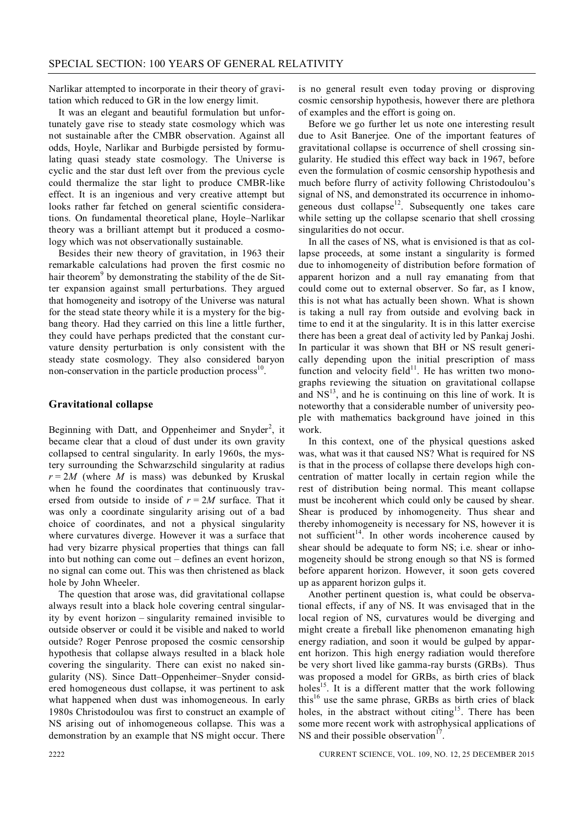Narlikar attempted to incorporate in their theory of gravitation which reduced to GR in the low energy limit.

It was an elegant and beautiful formulation but unfortunately gave rise to steady state cosmology which was not sustainable after the CMBR observation. Against all odds, Hoyle, Narlikar and Burbigde persisted by formulating quasi steady state cosmology. The Universe is cyclic and the star dust left over from the previous cycle could thermalize the star light to produce CMBR-like effect. It is an ingenious and very creative attempt but looks rather far fetched on general scientific considerations. On fundamental theoretical plane, Hoyle–Narlikar theory was a brilliant attempt but it produced a cosmology which was not observationally sustainable.

Besides their new theory of gravitation, in 1963 their remarkable calculations had proven the first cosmic no hair theorem<sup>9</sup> by demonstrating the stability of the de Sitter expansion against small perturbations. They argued that homogeneity and isotropy of the Universe was natural for the stead state theory while it is a mystery for the bigbang theory. Had they carried on this line a little further, they could have perhaps predicted that the constant curvature density perturbation is only consistent with the steady state cosmology. They also considered baryon non-conservation in the particle production process<sup>10</sup>.

#### **Gravitational collapse**

Beginning with Datt, and Oppenheimer and Snyder<sup>2</sup>, it became clear that a cloud of dust under its own gravity collapsed to central singularity. In early 1960s, the mystery surrounding the Schwarzschild singularity at radius  $r = 2M$  (where *M* is mass) was debunked by Kruskal when he found the coordinates that continuously traversed from outside to inside of  $r = 2M$  surface. That it was only a coordinate singularity arising out of a bad choice of coordinates, and not a physical singularity where curvatures diverge. However it was a surface that had very bizarre physical properties that things can fall into but nothing can come out – defines an event horizon, no signal can come out. This was then christened as black hole by John Wheeler.

The question that arose was, did gravitational collapse always result into a black hole covering central singularity by event horizon – singularity remained invisible to outside observer or could it be visible and naked to world outside? Roger Penrose proposed the cosmic censorship hypothesis that collapse always resulted in a black hole covering the singularity. There can exist no naked singularity (NS). Since Datt–Oppenheimer–Snyder considered homogeneous dust collapse, it was pertinent to ask what happened when dust was inhomogeneous. In early 1980s Christodoulou was first to construct an example of NS arising out of inhomogeneous collapse. This was a demonstration by an example that NS might occur. There

is no general result even today proving or disproving cosmic censorship hypothesis, however there are plethora of examples and the effort is going on.

Before we go further let us note one interesting result due to Asit Banerjee. One of the important features of gravitational collapse is occurrence of shell crossing singularity. He studied this effect way back in 1967, before even the formulation of cosmic censorship hypothesis and much before flurry of activity following Christodoulou's signal of NS, and demonstrated its occurrence in inhomogeneous dust collapse<sup>12</sup>. Subsequently one takes care while setting up the collapse scenario that shell crossing singularities do not occur.

In all the cases of NS, what is envisioned is that as collapse proceeds, at some instant a singularity is formed due to inhomogeneity of distribution before formation of apparent horizon and a null ray emanating from that could come out to external observer. So far, as I know, this is not what has actually been shown. What is shown is taking a null ray from outside and evolving back in time to end it at the singularity. It is in this latter exercise there has been a great deal of activity led by Pankaj Joshi. In particular it was shown that BH or NS result generically depending upon the initial prescription of mass function and velocity field $11$ . He has written two monographs reviewing the situation on gravitational collapse and  $NS<sup>13</sup>$ , and he is continuing on this line of work. It is noteworthy that a considerable number of university people with mathematics background have joined in this work.

In this context, one of the physical questions asked was, what was it that caused NS? What is required for NS is that in the process of collapse there develops high concentration of matter locally in certain region while the rest of distribution being normal. This meant collapse must be incoherent which could only be caused by shear. Shear is produced by inhomogeneity. Thus shear and thereby inhomogeneity is necessary for NS, however it is not sufficient<sup>14</sup>. In other words incoherence caused by shear should be adequate to form NS; i.e. shear or inhomogeneity should be strong enough so that NS is formed before apparent horizon. However, it soon gets covered up as apparent horizon gulps it.

Another pertinent question is, what could be observational effects, if any of NS. It was envisaged that in the local region of NS, curvatures would be diverging and might create a fireball like phenomenon emanating high energy radiation, and soon it would be gulped by apparent horizon. This high energy radiation would therefore be very short lived like gamma-ray bursts (GRBs). Thus was proposed a model for GRBs, as birth cries of black holes<sup>15</sup>. It is a different matter that the work following this<sup>16</sup> use the same phrase, GRBs as birth cries of black holes, in the abstract without citing<sup>15</sup>. There has been some more recent work with astrophysical applications of NS and their possible observation .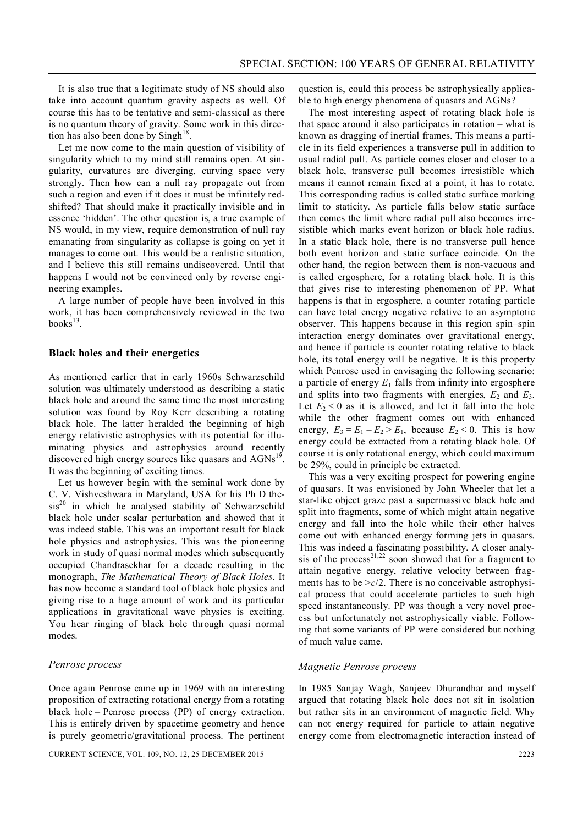It is also true that a legitimate study of NS should also take into account quantum gravity aspects as well. Of course this has to be tentative and semi-classical as there is no quantum theory of gravity. Some work in this direction has also been done by  $\text{Singh}^{18}$ .

Let me now come to the main question of visibility of singularity which to my mind still remains open. At singularity, curvatures are diverging, curving space very strongly. Then how can a null ray propagate out from such a region and even if it does it must be infinitely redshifted? That should make it practically invisible and in essence 'hidden'. The other question is, a true example of NS would, in my view, require demonstration of null ray emanating from singularity as collapse is going on yet it manages to come out. This would be a realistic situation, and I believe this still remains undiscovered. Until that happens I would not be convinced only by reverse engineering examples.

A large number of people have been involved in this work, it has been comprehensively reviewed in the two  $books^{13}$ .

#### **Black holes and their energetics**

As mentioned earlier that in early 1960s Schwarzschild solution was ultimately understood as describing a static black hole and around the same time the most interesting solution was found by Roy Kerr describing a rotating black hole. The latter heralded the beginning of high energy relativistic astrophysics with its potential for illuminating physics and astrophysics around recently discovered high energy sources like quasars and AGNs<sup>19</sup>. It was the beginning of exciting times.

Let us however begin with the seminal work done by C. V. Vishveshwara in Maryland, USA for his Ph D the $sis^{20}$  in which he analysed stability of Schwarzschild black hole under scalar perturbation and showed that it was indeed stable. This was an important result for black hole physics and astrophysics. This was the pioneering work in study of quasi normal modes which subsequently occupied Chandrasekhar for a decade resulting in the monograph, *The Mathematical Theory of Black Holes*. It has now become a standard tool of black hole physics and giving rise to a huge amount of work and its particular applications in gravitational wave physics is exciting. You hear ringing of black hole through quasi normal modes.

#### *Penrose process*

Once again Penrose came up in 1969 with an interesting proposition of extracting rotational energy from a rotating black hole – Penrose process (PP) of energy extraction. This is entirely driven by spacetime geometry and hence is purely geometric/gravitational process. The pertinent question is, could this process be astrophysically applicable to high energy phenomena of quasars and AGNs?

The most interesting aspect of rotating black hole is that space around it also participates in rotation – what is known as dragging of inertial frames. This means a particle in its field experiences a transverse pull in addition to usual radial pull. As particle comes closer and closer to a black hole, transverse pull becomes irresistible which means it cannot remain fixed at a point, it has to rotate. This corresponding radius is called static surface marking limit to staticity. As particle falls below static surface then comes the limit where radial pull also becomes irresistible which marks event horizon or black hole radius. In a static black hole, there is no transverse pull hence both event horizon and static surface coincide. On the other hand, the region between them is non-vacuous and is called ergosphere, for a rotating black hole. It is this that gives rise to interesting phenomenon of PP. What happens is that in ergosphere, a counter rotating particle can have total energy negative relative to an asymptotic observer. This happens because in this region spin–spin interaction energy dominates over gravitational energy, and hence if particle is counter rotating relative to black hole, its total energy will be negative. It is this property which Penrose used in envisaging the following scenario: a particle of energy  $E_1$  falls from infinity into ergosphere and splits into two fragments with energies,  $E_2$  and  $E_3$ . Let  $E_2 < 0$  as it is allowed, and let it fall into the hole while the other fragment comes out with enhanced energy,  $E_3 = E_1 - E_2 > E_1$ , because  $E_2 < 0$ . This is how energy could be extracted from a rotating black hole. Of course it is only rotational energy, which could maximum be 29%, could in principle be extracted.

This was a very exciting prospect for powering engine of quasars. It was envisioned by John Wheeler that let a star-like object graze past a supermassive black hole and split into fragments, some of which might attain negative energy and fall into the hole while their other halves come out with enhanced energy forming jets in quasars. This was indeed a fascinating possibility. A closer analysis of the process<sup>21,22</sup> soon showed that for a fragment to attain negative energy, relative velocity between fragments has to be  $\geq c/2$ . There is no conceivable astrophysical process that could accelerate particles to such high speed instantaneously. PP was though a very novel process but unfortunately not astrophysically viable. Following that some variants of PP were considered but nothing of much value came.

#### *Magnetic Penrose process*

In 1985 Sanjay Wagh, Sanjeev Dhurandhar and myself argued that rotating black hole does not sit in isolation but rather sits in an environment of magnetic field. Why can not energy required for particle to attain negative energy come from electromagnetic interaction instead of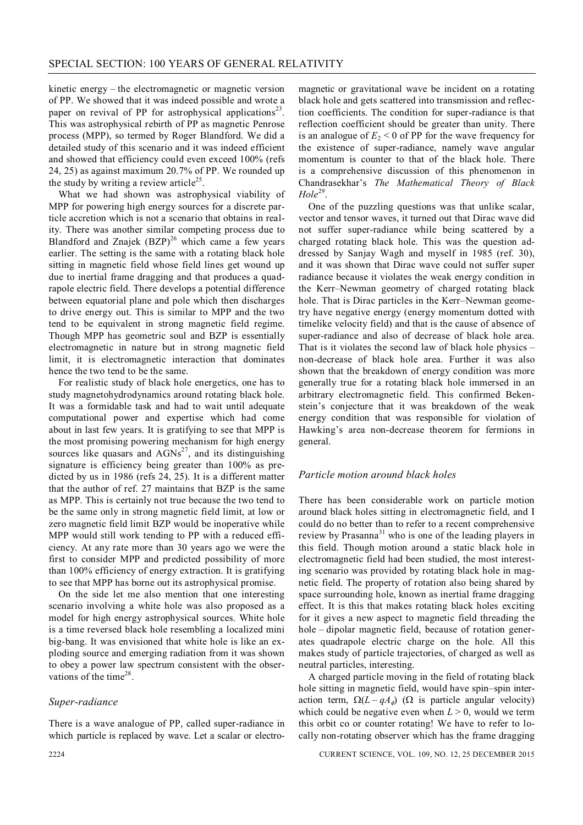kinetic energy – the electromagnetic or magnetic version of PP. We showed that it was indeed possible and wrote a paper on revival of PP for astrophysical applications<sup>23</sup>. This was astrophysical rebirth of PP as magnetic Penrose process (MPP), so termed by Roger Blandford. We did a detailed study of this scenario and it was indeed efficient and showed that efficiency could even exceed 100% (refs 24, 25) as against maximum 20.7% of PP. We rounded up the study by writing a review article<sup>25</sup>.

What we had shown was astrophysical viability of MPP for powering high energy sources for a discrete particle accretion which is not a scenario that obtains in reality. There was another similar competing process due to Blandford and Znajek  $(BZP)^{26}$  which came a few years earlier. The setting is the same with a rotating black hole sitting in magnetic field whose field lines get wound up due to inertial frame dragging and that produces a quadrapole electric field. There develops a potential difference between equatorial plane and pole which then discharges to drive energy out. This is similar to MPP and the two tend to be equivalent in strong magnetic field regime. Though MPP has geometric soul and BZP is essentially electromagnetic in nature but in strong magnetic field limit, it is electromagnetic interaction that dominates hence the two tend to be the same.

For realistic study of black hole energetics, one has to study magnetohydrodynamics around rotating black hole. It was a formidable task and had to wait until adequate computational power and expertise which had come about in last few years. It is gratifying to see that MPP is the most promising powering mechanism for high energy sources like quasars and  $\angle AGNs^{27}$ , and its distinguishing signature is efficiency being greater than 100% as predicted by us in 1986 (refs 24, 25). It is a different matter that the author of ref. 27 maintains that BZP is the same as MPP. This is certainly not true because the two tend to be the same only in strong magnetic field limit, at low or zero magnetic field limit BZP would be inoperative while MPP would still work tending to PP with a reduced efficiency. At any rate more than 30 years ago we were the first to consider MPP and predicted possibility of more than 100% efficiency of energy extraction. It is gratifying to see that MPP has borne out its astrophysical promise.

On the side let me also mention that one interesting scenario involving a white hole was also proposed as a model for high energy astrophysical sources. White hole is a time reversed black hole resembling a localized mini big-bang. It was envisioned that white hole is like an exploding source and emerging radiation from it was shown to obey a power law spectrum consistent with the observations of the time<sup>28</sup> .

#### *Super-radiance*

There is a wave analogue of PP, called super-radiance in which particle is replaced by wave. Let a scalar or electro-

magnetic or gravitational wave be incident on a rotating black hole and gets scattered into transmission and reflection coefficients. The condition for super-radiance is that reflection coefficient should be greater than unity. There is an analogue of  $E_2 < 0$  of PP for the wave frequency for the existence of super-radiance, namely wave angular momentum is counter to that of the black hole. There is a comprehensive discussion of this phenomenon in Chandrasekhar's *The Mathematical Theory of Black Hole*<sup>29</sup> .

One of the puzzling questions was that unlike scalar, vector and tensor waves, it turned out that Dirac wave did not suffer super-radiance while being scattered by a charged rotating black hole. This was the question addressed by Sanjay Wagh and myself in 1985 (ref. 30), and it was shown that Dirac wave could not suffer super radiance because it violates the weak energy condition in the Kerr–Newman geometry of charged rotating black hole. That is Dirac particles in the Kerr–Newman geometry have negative energy (energy momentum dotted with timelike velocity field) and that is the cause of absence of super-radiance and also of decrease of black hole area. That is it violates the second law of black hole physics – non-decrease of black hole area. Further it was also shown that the breakdown of energy condition was more generally true for a rotating black hole immersed in an arbitrary electromagnetic field. This confirmed Bekenstein's conjecture that it was breakdown of the weak energy condition that was responsible for violation of Hawking's area non-decrease theorem for fermions in general.

#### *Particle motion around black holes*

There has been considerable work on particle motion around black holes sitting in electromagnetic field, and I could do no better than to refer to a recent comprehensive review by Prasanna<sup>31</sup> who is one of the leading players in this field. Though motion around a static black hole in electromagnetic field had been studied, the most interesting scenario was provided by rotating black hole in magnetic field. The property of rotation also being shared by space surrounding hole, known as inertial frame dragging effect. It is this that makes rotating black holes exciting for it gives a new aspect to magnetic field threading the hole – dipolar magnetic field, because of rotation generates quadrapole electric charge on the hole. All this makes study of particle trajectories, of charged as well as neutral particles, interesting.

A charged particle moving in the field of rotating black hole sitting in magnetic field, would have spin–spin interaction term,  $\Omega(L - qA_{\phi})$  ( $\Omega$  is particle angular velocity) which could be negative even when  $L > 0$ , would we term this orbit co or counter rotating! We have to refer to locally non-rotating observer which has the frame dragging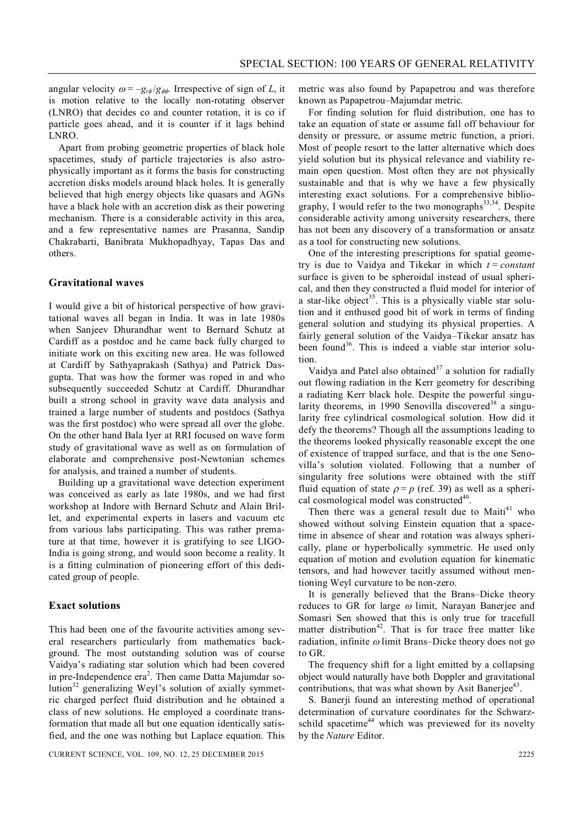angular velocity  $\omega = -g_t \phi / g_{\phi\phi}$ . Irrespective of sign of *L*, it is motion relative to the locally non-rotating observer (LNRO) that decides co and counter rotation, it is co if particle goes ahead, and it is counter if it lags behind LNRO.

Apart from probing geometric properties of black hole spacetimes, study of particle trajectories is also astrophysically important as it forms the basis for constructing accretion disks models around black holes. It is generally believed that high energy objects like quasars and AGNs have a black hole with an accretion disk as their powering mechanism. There is a considerable activity in this area, and a few representative names are Prasanna, Sandip Chakrabarti, Banibrata Mukhopadhyay, Tapas Das and others.

#### **Gravitational waves**

I would give a bit of historical perspective of how gravitational waves all began in India. It was in late 1980s when Sanjeev Dhurandhar went to Bernard Schutz at Cardiff as a postdoc and he came back fully charged to initiate work on this exciting new area. He was followed at Cardiff by Sathyaprakash (Sathya) and Patrick Dasgupta. That was how the former was roped in and who subsequently succeeded Schutz at Cardiff. Dhurandhar built a strong school in gravity wave data analysis and trained a large number of students and postdocs (Sathya was the first postdoc) who were spread all over the globe. On the other hand Bala Iyer at RRI focused on wave form study of gravitational wave as well as on formulation of elaborate and comprehensive post-Newtonian schemes for analysis, and trained a number of students.

Building up a gravitational wave detection experiment was conceived as early as late 1980s, and we had first workshop at Indore with Bernard Schutz and Alain Brillet, and experimental experts in lasers and vacuum etc from various labs participating. This was rather premature at that time, however it is gratifying to see LIGO-India is going strong, and would soon become a reality. It is a fitting culmination of pioneering effort of this dedicated group of people.

#### **Exact solutions**

This had been one of the favourite activities among several researchers particularly from mathematics background. The most outstanding solution was of course Vaidya's radiating star solution which had been covered in pre-Independence  $era^2$ . Then came Datta Majumdar solution $32$  generalizing Weyl's solution of axially symmetric charged perfect fluid distribution and he obtained a class of new solutions. He employed a coordinate transformation that made all but one equation identically satisfied, and the one was nothing but Laplace equation. This

metric was also found by Papapetrou and was therefore known as Papapetrou–Majumdar metric.

For finding solution for fluid distribution, one has to take an equation of state or assume fall off behaviour for density or pressure, or assume metric function, a priori. Most of people resort to the latter alternative which does yield solution but its physical relevance and viability remain open question. Most often they are not physically sustainable and that is why we have a few physically interesting exact solutions. For a comprehensive bibliography, I would refer to the two monographs $33,34$ . Despite considerable activity among university researchers, there has not been any discovery of a transformation or ansatz as a tool for constructing new solutions.

One of the interesting prescriptions for spatial geometry is due to Vaidya and Tikekar in which *t* = *constant* surface is given to be spheroidal instead of usual spherical, and then they constructed a fluid model for interior of a star-like object<sup>35</sup>. This is a physically viable star solution and it enthused good bit of work in terms of finding general solution and studying its physical properties. A fairly general solution of the Vaidya–Tikekar ansatz has been found<sup>36</sup>. This is indeed a viable star interior solution.

Vaidya and Patel also obtained<sup>37</sup> a solution for radially out flowing radiation in the Kerr geometry for describing a radiating Kerr black hole. Despite the powerful singularity theorems, in 1990 Senovilla discovered<sup>38</sup> a singularity free cylindrical cosmological solution. How did it defy the theorems? Though all the assumptions leading to the theorems looked physically reasonable except the one of existence of trapped surface, and that is the one Senovilla's solution violated. Following that a number of singularity free solutions were obtained with the stiff fluid equation of state  $\rho = p$  (ref. 39) as well as a spherical cosmological model was constructed<sup>40</sup>.

Then there was a general result due to Maiti<sup>41</sup> who showed without solving Einstein equation that a spacetime in absence of shear and rotation was always spherically, plane or hyperbolically symmetric. He used only equation of motion and evolution equation for kinematic tensors, and had however tacitly assumed without mentioning Weyl curvature to be non-zero.

It is generally believed that the Brans–Dicke theory reduces to GR for large  $\omega$  limit, Narayan Banerjee and Somasri Sen showed that this is only true for tracefull matter distribution<sup>42</sup>. That is for trace free matter like radiation, infinite  $\omega$  limit Brans–Dicke theory does not go to GR.

The frequency shift for a light emitted by a collapsing object would naturally have both Doppler and gravitational contributions, that was what shown by Asit Banerjee<sup>43</sup>.

S. Banerji found an interesting method of operational determination of curvature coordinates for the Schwarzschild spacetime<sup>44</sup> which was previewed for its novelty by the *Nature* Editor.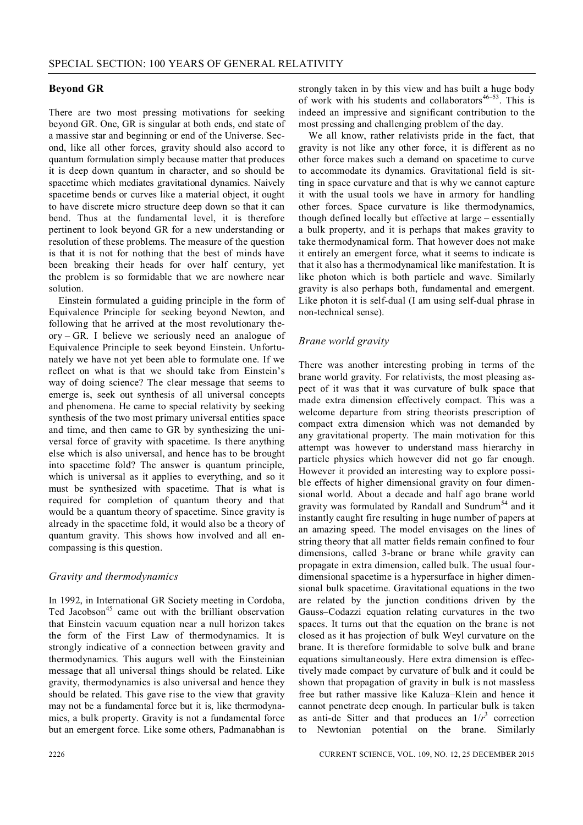## **Beyond GR**

There are two most pressing motivations for seeking beyond GR. One, GR is singular at both ends, end state of a massive star and beginning or end of the Universe. Second, like all other forces, gravity should also accord to quantum formulation simply because matter that produces it is deep down quantum in character, and so should be spacetime which mediates gravitational dynamics. Naively spacetime bends or curves like a material object, it ought to have discrete micro structure deep down so that it can bend. Thus at the fundamental level, it is therefore pertinent to look beyond GR for a new understanding or resolution of these problems. The measure of the question is that it is not for nothing that the best of minds have been breaking their heads for over half century, yet the problem is so formidable that we are nowhere near solution.

Einstein formulated a guiding principle in the form of Equivalence Principle for seeking beyond Newton, and following that he arrived at the most revolutionary theory – GR. I believe we seriously need an analogue of Equivalence Principle to seek beyond Einstein. Unfortunately we have not yet been able to formulate one. If we reflect on what is that we should take from Einstein's way of doing science? The clear message that seems to emerge is, seek out synthesis of all universal concepts and phenomena. He came to special relativity by seeking synthesis of the two most primary universal entities space and time, and then came to GR by synthesizing the universal force of gravity with spacetime. Is there anything else which is also universal, and hence has to be brought into spacetime fold? The answer is quantum principle, which is universal as it applies to everything, and so it must be synthesized with spacetime. That is what is required for completion of quantum theory and that would be a quantum theory of spacetime. Since gravity is already in the spacetime fold, it would also be a theory of quantum gravity. This shows how involved and all encompassing is this question.

## *Gravity and thermodynamics*

In 1992, in International GR Society meeting in Cordoba, Ted Jacobson<sup>45</sup> came out with the brilliant observation that Einstein vacuum equation near a null horizon takes the form of the First Law of thermodynamics. It is strongly indicative of a connection between gravity and thermodynamics. This augurs well with the Einsteinian message that all universal things should be related. Like gravity, thermodynamics is also universal and hence they should be related. This gave rise to the view that gravity may not be a fundamental force but it is, like thermodynamics, a bulk property. Gravity is not a fundamental force but an emergent force. Like some others, Padmanabhan is strongly taken in by this view and has built a huge body of work with his students and collaborators $46-53$ . This is indeed an impressive and significant contribution to the most pressing and challenging problem of the day.

We all know, rather relativists pride in the fact, that gravity is not like any other force, it is different as no other force makes such a demand on spacetime to curve to accommodate its dynamics. Gravitational field is sitting in space curvature and that is why we cannot capture it with the usual tools we have in armory for handling other forces. Space curvature is like thermodynamics, though defined locally but effective at large – essentially a bulk property, and it is perhaps that makes gravity to take thermodynamical form. That however does not make it entirely an emergent force, what it seems to indicate is that it also has a thermodynamical like manifestation. It is like photon which is both particle and wave. Similarly gravity is also perhaps both, fundamental and emergent. Like photon it is self-dual (I am using self-dual phrase in non-technical sense).

## *Brane world gravity*

There was another interesting probing in terms of the brane world gravity. For relativists, the most pleasing aspect of it was that it was curvature of bulk space that made extra dimension effectively compact. This was a welcome departure from string theorists prescription of compact extra dimension which was not demanded by any gravitational property. The main motivation for this attempt was however to understand mass hierarchy in particle physics which however did not go far enough. However it provided an interesting way to explore possible effects of higher dimensional gravity on four dimensional world. About a decade and half ago brane world gravity was formulated by Randall and Sundrum<sup>54</sup> and it instantly caught fire resulting in huge number of papers at an amazing speed. The model envisages on the lines of string theory that all matter fields remain confined to four dimensions, called 3-brane or brane while gravity can propagate in extra dimension, called bulk. The usual fourdimensional spacetime is a hypersurface in higher dimensional bulk spacetime. Gravitational equations in the two are related by the junction conditions driven by the Gauss–Codazzi equation relating curvatures in the two spaces. It turns out that the equation on the brane is not closed as it has projection of bulk Weyl curvature on the brane. It is therefore formidable to solve bulk and brane equations simultaneously. Here extra dimension is effectively made compact by curvature of bulk and it could be shown that propagation of gravity in bulk is not massless free but rather massive like Kaluza–Klein and hence it cannot penetrate deep enough. In particular bulk is taken as anti-de Sitter and that produces an  $1/r^3$  correction to Newtonian potential on the brane. Similarly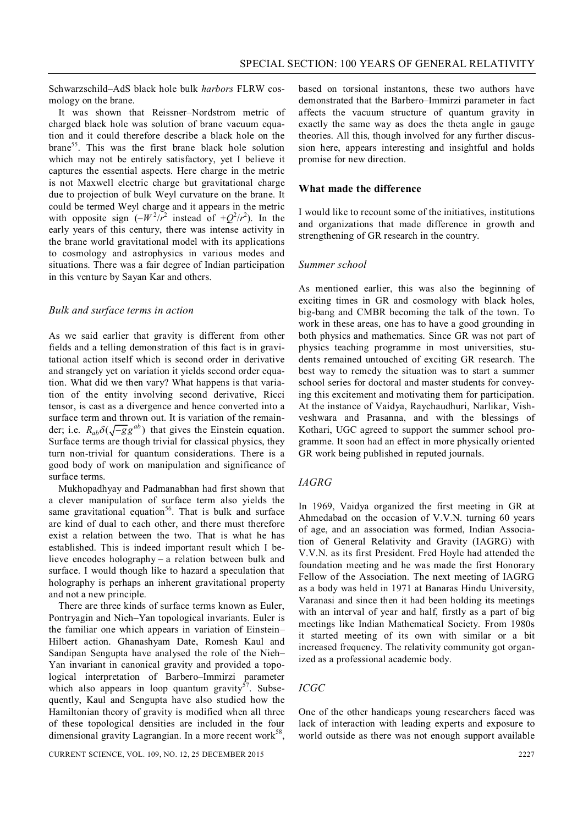Schwarzschild–AdS black hole bulk *harbors* FLRW cosmology on the brane.

It was shown that Reissner–Nordstrom metric of charged black hole was solution of brane vacuum equation and it could therefore describe a black hole on the  $brane<sup>55</sup>$ . This was the first brane black hole solution which may not be entirely satisfactory, yet I believe it captures the essential aspects. Here charge in the metric is not Maxwell electric charge but gravitational charge due to projection of bulk Weyl curvature on the brane. It could be termed Weyl charge and it appears in the metric with opposite sign  $(-W^2/r^2)$  instead of  $+Q^2/r^2$ . In the early years of this century, there was intense activity in the brane world gravitational model with its applications to cosmology and astrophysics in various modes and situations. There was a fair degree of Indian participation in this venture by Sayan Kar and others.

#### *Bulk and surface terms in action*

As we said earlier that gravity is different from other fields and a telling demonstration of this fact is in gravitational action itself which is second order in derivative and strangely yet on variation it yields second order equation. What did we then vary? What happens is that variation of the entity involving second derivative, Ricci tensor, is cast as a divergence and hence converted into a surface term and thrown out. It is variation of the remainder; i.e.  $R_{ab}\delta(\sqrt{-g}g^{ab})$  that gives the Einstein equation. Surface terms are though trivial for classical physics, they turn non-trivial for quantum considerations. There is a good body of work on manipulation and significance of surface terms.

Mukhopadhyay and Padmanabhan had first shown that a clever manipulation of surface term also yields the same gravitational equation<sup>56</sup>. That is bulk and surface are kind of dual to each other, and there must therefore exist a relation between the two. That is what he has established. This is indeed important result which I believe encodes holography – a relation between bulk and surface. I would though like to hazard a speculation that holography is perhaps an inherent gravitational property and not a new principle.

There are three kinds of surface terms known as Euler, Pontryagin and Nieh–Yan topological invariants. Euler is the familiar one which appears in variation of Einstein– Hilbert action. Ghanashyam Date, Romesh Kaul and Sandipan Sengupta have analysed the role of the Nieh– Yan invariant in canonical gravity and provided a topological interpretation of Barbero–Immirzi parameter which also appears in loop quantum gravity<sup>57</sup>. Subsequently, Kaul and Sengupta have also studied how the Hamiltonian theory of gravity is modified when all three of these topological densities are included in the four dimensional gravity Lagrangian. In a more recent work<sup>58</sup>,

based on torsional instantons, these two authors have demonstrated that the Barbero–Immirzi parameter in fact affects the vacuum structure of quantum gravity in exactly the same way as does the theta angle in gauge theories. All this, though involved for any further discussion here, appears interesting and insightful and holds promise for new direction.

## **What made the difference**

I would like to recount some of the initiatives, institutions and organizations that made difference in growth and strengthening of GR research in the country.

#### *Summer school*

As mentioned earlier, this was also the beginning of exciting times in GR and cosmology with black holes, big-bang and CMBR becoming the talk of the town. To work in these areas, one has to have a good grounding in both physics and mathematics. Since GR was not part of physics teaching programme in most universities, students remained untouched of exciting GR research. The best way to remedy the situation was to start a summer school series for doctoral and master students for conveying this excitement and motivating them for participation. At the instance of Vaidya, Raychaudhuri, Narlikar, Vishveshwara and Prasanna, and with the blessings of Kothari, UGC agreed to support the summer school programme. It soon had an effect in more physically oriented GR work being published in reputed journals.

#### *IAGRG*

In 1969, Vaidya organized the first meeting in GR at Ahmedabad on the occasion of V.V.N. turning 60 years of age, and an association was formed, Indian Association of General Relativity and Gravity (IAGRG) with V.V.N. as its first President. Fred Hoyle had attended the foundation meeting and he was made the first Honorary Fellow of the Association. The next meeting of IAGRG as a body was held in 1971 at Banaras Hindu University, Varanasi and since then it had been holding its meetings with an interval of year and half, firstly as a part of big meetings like Indian Mathematical Society. From 1980s it started meeting of its own with similar or a bit increased frequency. The relativity community got organized as a professional academic body.

#### *ICGC*

One of the other handicaps young researchers faced was lack of interaction with leading experts and exposure to world outside as there was not enough support available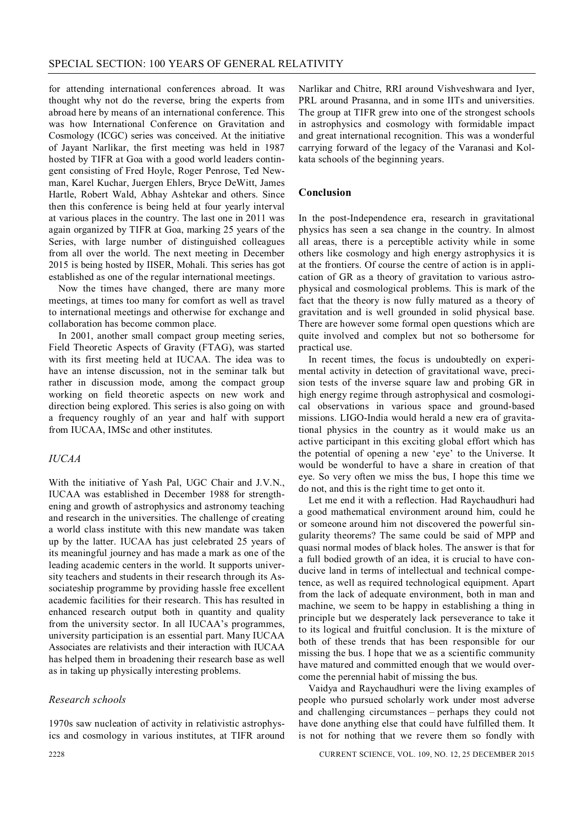for attending international conferences abroad. It was thought why not do the reverse, bring the experts from abroad here by means of an international conference. This was how International Conference on Gravitation and Cosmology (ICGC) series was conceived. At the initiative of Jayant Narlikar, the first meeting was held in 1987 hosted by TIFR at Goa with a good world leaders contingent consisting of Fred Hoyle, Roger Penrose, Ted Newman, Karel Kuchar, Juergen Ehlers, Bryce DeWitt, James Hartle, Robert Wald, Abhay Ashtekar and others. Since then this conference is being held at four yearly interval at various places in the country. The last one in 2011 was again organized by TIFR at Goa, marking 25 years of the Series, with large number of distinguished colleagues from all over the world. The next meeting in December 2015 is being hosted by IISER, Mohali. This series has got established as one of the regular international meetings.

Now the times have changed, there are many more meetings, at times too many for comfort as well as travel to international meetings and otherwise for exchange and collaboration has become common place.

In 2001, another small compact group meeting series, Field Theoretic Aspects of Gravity (FTAG), was started with its first meeting held at IUCAA. The idea was to have an intense discussion, not in the seminar talk but rather in discussion mode, among the compact group working on field theoretic aspects on new work and direction being explored. This series is also going on with a frequency roughly of an year and half with support from IUCAA, IMSc and other institutes.

## *IUCAA*

With the initiative of Yash Pal, UGC Chair and J.V.N., IUCAA was established in December 1988 for strengthening and growth of astrophysics and astronomy teaching and research in the universities. The challenge of creating a world class institute with this new mandate was taken up by the latter. IUCAA has just celebrated 25 years of its meaningful journey and has made a mark as one of the leading academic centers in the world. It supports university teachers and students in their research through its Associateship programme by providing hassle free excellent academic facilities for their research. This has resulted in enhanced research output both in quantity and quality from the university sector. In all IUCAA's programmes, university participation is an essential part. Many IUCAA Associates are relativists and their interaction with IUCAA has helped them in broadening their research base as well as in taking up physically interesting problems.

## *Research schools*

1970s saw nucleation of activity in relativistic astrophysics and cosmology in various institutes, at TIFR around Narlikar and Chitre, RRI around Vishveshwara and Iyer, PRL around Prasanna, and in some IITs and universities. The group at TIFR grew into one of the strongest schools in astrophysics and cosmology with formidable impact and great international recognition. This was a wonderful carrying forward of the legacy of the Varanasi and Kolkata schools of the beginning years.

## **Conclusion**

In the post-Independence era, research in gravitational physics has seen a sea change in the country. In almost all areas, there is a perceptible activity while in some others like cosmology and high energy astrophysics it is at the frontiers. Of course the centre of action is in application of GR as a theory of gravitation to various astrophysical and cosmological problems. This is mark of the fact that the theory is now fully matured as a theory of gravitation and is well grounded in solid physical base. There are however some formal open questions which are quite involved and complex but not so bothersome for practical use.

In recent times, the focus is undoubtedly on experimental activity in detection of gravitational wave, precision tests of the inverse square law and probing GR in high energy regime through astrophysical and cosmological observations in various space and ground-based missions. LIGO-India would herald a new era of gravitational physics in the country as it would make us an active participant in this exciting global effort which has the potential of opening a new 'eye' to the Universe. It would be wonderful to have a share in creation of that eye. So very often we miss the bus, I hope this time we do not, and this is the right time to get onto it.

Let me end it with a reflection. Had Raychaudhuri had a good mathematical environment around him, could he or someone around him not discovered the powerful singularity theorems? The same could be said of MPP and quasi normal modes of black holes. The answer is that for a full bodied growth of an idea, it is crucial to have conducive land in terms of intellectual and technical competence, as well as required technological equipment. Apart from the lack of adequate environment, both in man and machine, we seem to be happy in establishing a thing in principle but we desperately lack perseverance to take it to its logical and fruitful conclusion. It is the mixture of both of these trends that has been responsible for our missing the bus. I hope that we as a scientific community have matured and committed enough that we would overcome the perennial habit of missing the bus.

Vaidya and Raychaudhuri were the living examples of people who pursued scholarly work under most adverse and challenging circumstances – perhaps they could not have done anything else that could have fulfilled them. It is not for nothing that we revere them so fondly with